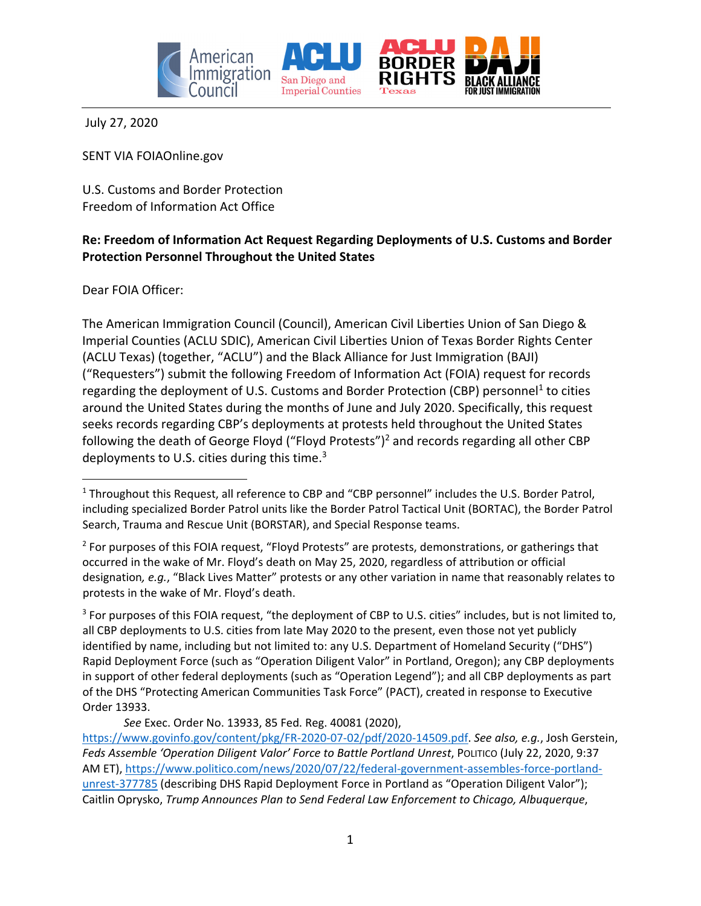

July 27, 2020

SENT VIA FOIAOnline.gov

U.S. Customs and Border Protection Freedom of Information Act Office

### **Re: Freedom of Information Act Request Regarding Deployments of U.S. Customs and Border Protection Personnel Throughout the United States**

Dear FOIA Officer:

The American Immigration Council (Council), American Civil Liberties Union of San Diego & Imperial Counties (ACLU SDIC), American Civil Liberties Union of Texas Border Rights Center (ACLU Texas) (together, "ACLU") and the Black Alliance for Just Immigration (BAJI) ("Requesters") submit the following Freedom of Information Act (FOIA) request for records regarding the deployment of U.S. Customs and Border Protection (CBP) personnel<sup>1</sup> to cities around the United States during the months of June and July 2020. Specifically, this request seeks records regarding CBP's deployments at protests held throughout the United States following the death of George Floyd ("Floyd Protests")<sup>2</sup> and records regarding all other CBP deployments to U.S. cities during this time.3

<sup>3</sup> For purposes of this FOIA request, "the deployment of CBP to U.S. cities" includes, but is not limited to, all CBP deployments to U.S. cities from late May 2020 to the present, even those not yet publicly identified by name, including but not limited to: any U.S. Department of Homeland Security ("DHS") Rapid Deployment Force (such as "Operation Diligent Valor" in Portland, Oregon); any CBP deployments in support of other federal deployments (such as "Operation Legend"); and all CBP deployments as part of the DHS "Protecting American Communities Task Force" (PACT), created in response to Executive Order 13933.

*See* Exec. Order No. 13933, 85 Fed. Reg. 40081 (2020),

<sup>&</sup>lt;sup>1</sup> Throughout this Request, all reference to CBP and "CBP personnel" includes the U.S. Border Patrol, including specialized Border Patrol units like the Border Patrol Tactical Unit (BORTAC), the Border Patrol Search, Trauma and Rescue Unit (BORSTAR), and Special Response teams.

<sup>&</sup>lt;sup>2</sup> For purposes of this FOIA request, "Floyd Protests" are protests, demonstrations, or gatherings that occurred in the wake of Mr. Floyd's death on May 25, 2020, regardless of attribution or official designation*, e.g.*, "Black Lives Matter" protests or any other variation in name that reasonably relates to protests in the wake of Mr. Floyd's death.

https://www.govinfo.gov/content/pkg/FR‐2020‐07‐02/pdf/2020‐14509.pdf. *See also, e.g.*, Josh Gerstein, *Feds Assemble 'Operation Diligent Valor' Force to Battle Portland Unrest*, POLITICO (July 22, 2020, 9:37 AM ET), https://www.politico.com/news/2020/07/22/federal‐government‐assembles‐force‐portland‐ unrest‐377785 (describing DHS Rapid Deployment Force in Portland as "Operation Diligent Valor"); Caitlin Oprysko, *Trump Announces Plan to Send Federal Law Enforcement to Chicago, Albuquerque*,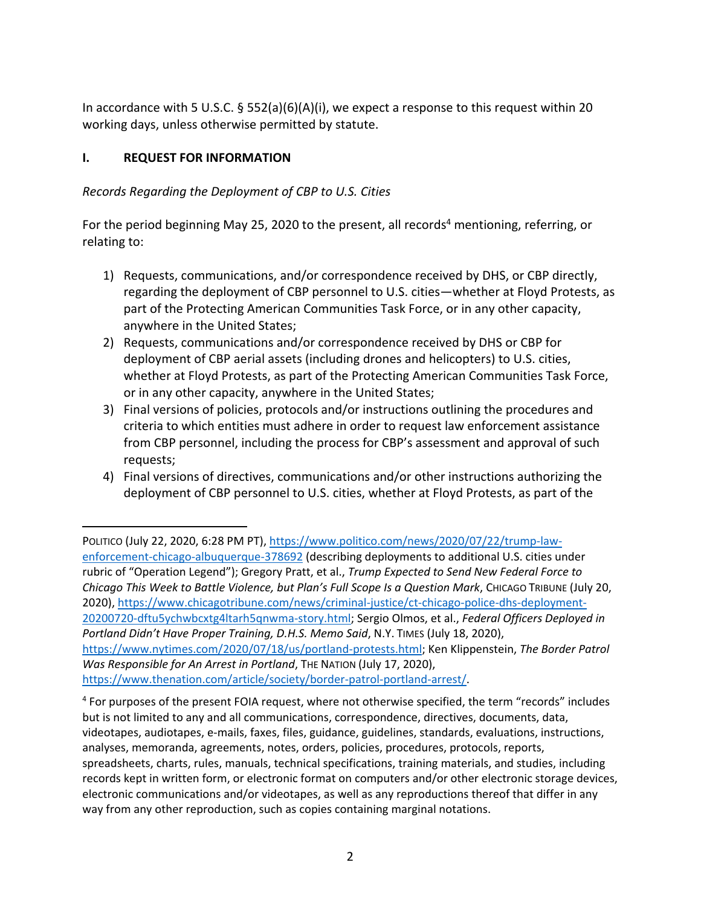In accordance with 5 U.S.C.  $\S$  552(a)(6)(A)(i), we expect a response to this request within 20 working days, unless otherwise permitted by statute.

## **I. REQUEST FOR INFORMATION**

*Records Regarding the Deployment of CBP to U.S. Cities*

For the period beginning May 25, 2020 to the present, all records<sup>4</sup> mentioning, referring, or relating to:

- 1) Requests, communications, and/or correspondence received by DHS, or CBP directly, regarding the deployment of CBP personnel to U.S. cities—whether at Floyd Protests, as part of the Protecting American Communities Task Force, or in any other capacity, anywhere in the United States;
- 2) Requests, communications and/or correspondence received by DHS or CBP for deployment of CBP aerial assets (including drones and helicopters) to U.S. cities, whether at Floyd Protests, as part of the Protecting American Communities Task Force, or in any other capacity, anywhere in the United States;
- 3) Final versions of policies, protocols and/or instructions outlining the procedures and criteria to which entities must adhere in order to request law enforcement assistance from CBP personnel, including the process for CBP's assessment and approval of such requests;
- 4) Final versions of directives, communications and/or other instructions authorizing the deployment of CBP personnel to U.S. cities, whether at Floyd Protests, as part of the

POLITICO (July 22, 2020, 6:28 PM PT), https://www.politico.com/news/2020/07/22/trump‐law‐ enforcement-chicago-albuquerque-378692 (describing deployments to additional U.S. cities under rubric of "Operation Legend"); Gregory Pratt, et al., *Trump Expected to Send New Federal Force to Chicago This Week to Battle Violence, but Plan's Full Scope Is a Question Mark*, CHICAGO TRIBUNE (July 20, 2020), https://www.chicagotribune.com/news/criminal-justice/ct-chicago-police-dhs-deployment-20200720‐dftu5ychwbcxtg4ltarh5qnwma‐story.html; Sergio Olmos, et al., *Federal Officers Deployed in Portland Didn't Have Proper Training, D.H.S. Memo Said*, N.Y. TIMES (July 18, 2020), https://www.nytimes.com/2020/07/18/us/portland‐protests.html; Ken Klippenstein, *The Border Patrol Was Responsible for An Arrest in Portland*, THE NATION (July 17, 2020), https://www.thenation.com/article/society/border-patrol-portland-arrest/.

<sup>4</sup> For purposes of the present FOIA request, where not otherwise specified, the term "records" includes but is not limited to any and all communications, correspondence, directives, documents, data, videotapes, audiotapes, e‐mails, faxes, files, guidance, guidelines, standards, evaluations, instructions, analyses, memoranda, agreements, notes, orders, policies, procedures, protocols, reports, spreadsheets, charts, rules, manuals, technical specifications, training materials, and studies, including records kept in written form, or electronic format on computers and/or other electronic storage devices, electronic communications and/or videotapes, as well as any reproductions thereof that differ in any way from any other reproduction, such as copies containing marginal notations.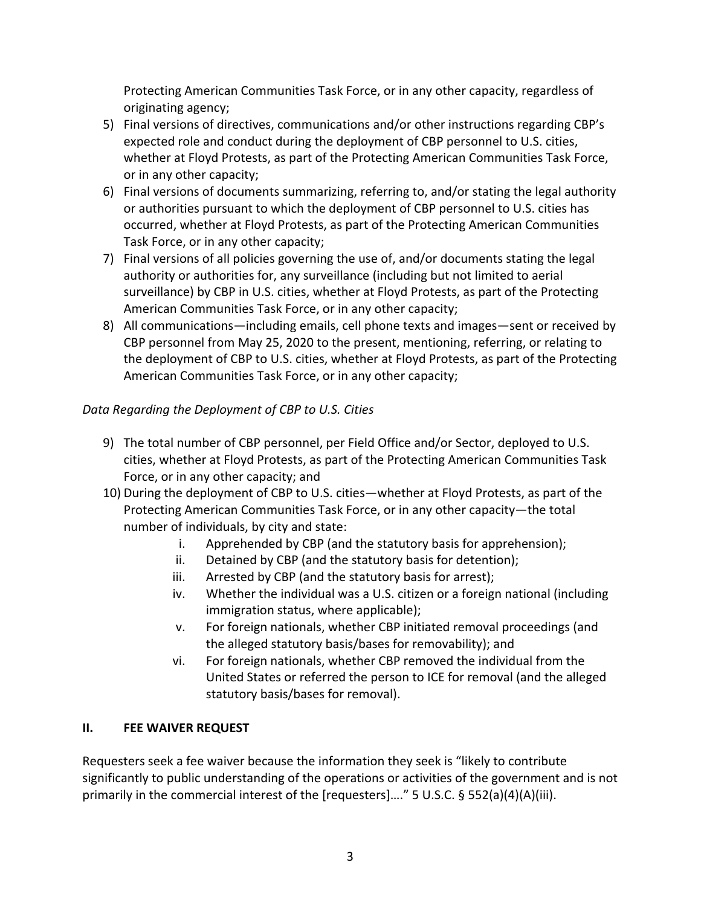Protecting American Communities Task Force, or in any other capacity, regardless of originating agency;

- 5) Final versions of directives, communications and/or other instructions regarding CBP's expected role and conduct during the deployment of CBP personnel to U.S. cities, whether at Floyd Protests, as part of the Protecting American Communities Task Force, or in any other capacity;
- 6) Final versions of documents summarizing, referring to, and/or stating the legal authority or authorities pursuant to which the deployment of CBP personnel to U.S. cities has occurred, whether at Floyd Protests, as part of the Protecting American Communities Task Force, or in any other capacity;
- 7) Final versions of all policies governing the use of, and/or documents stating the legal authority or authorities for, any surveillance (including but not limited to aerial surveillance) by CBP in U.S. cities, whether at Floyd Protests, as part of the Protecting American Communities Task Force, or in any other capacity;
- 8) All communications—including emails, cell phone texts and images—sent or received by CBP personnel from May 25, 2020 to the present, mentioning, referring, or relating to the deployment of CBP to U.S. cities, whether at Floyd Protests, as part of the Protecting American Communities Task Force, or in any other capacity;

# *Data Regarding the Deployment of CBP to U.S. Cities*

- 9) The total number of CBP personnel, per Field Office and/or Sector, deployed to U.S. cities, whether at Floyd Protests, as part of the Protecting American Communities Task Force, or in any other capacity; and
- 10) During the deployment of CBP to U.S. cities—whether at Floyd Protests, as part of the Protecting American Communities Task Force, or in any other capacity—the total number of individuals, by city and state:
	- i. Apprehended by CBP (and the statutory basis for apprehension);
	- ii. Detained by CBP (and the statutory basis for detention);
	- iii. Arrested by CBP (and the statutory basis for arrest);
	- iv. Whether the individual was a U.S. citizen or a foreign national (including immigration status, where applicable);
	- v. For foreign nationals, whether CBP initiated removal proceedings (and the alleged statutory basis/bases for removability); and
	- vi. For foreign nationals, whether CBP removed the individual from the United States or referred the person to ICE for removal (and the alleged statutory basis/bases for removal).

# **II. FEE WAIVER REQUEST**

Requesters seek a fee waiver because the information they seek is "likely to contribute significantly to public understanding of the operations or activities of the government and is not primarily in the commercial interest of the [requesters]…." 5 U.S.C. § 552(a)(4)(A)(iii).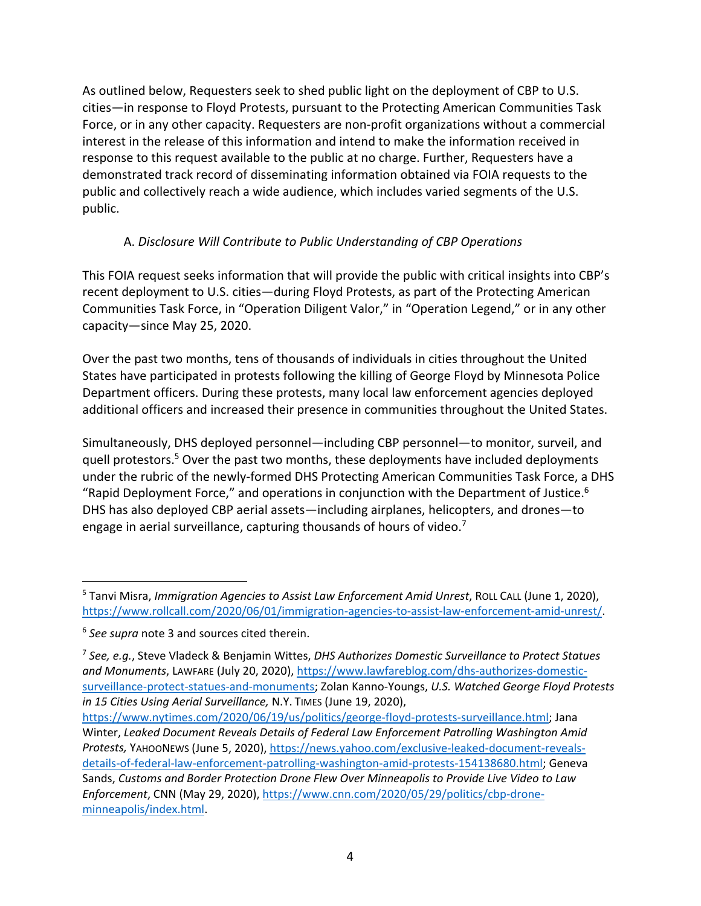As outlined below, Requesters seek to shed public light on the deployment of CBP to U.S. cities—in response to Floyd Protests, pursuant to the Protecting American Communities Task Force, or in any other capacity. Requesters are non-profit organizations without a commercial interest in the release of this information and intend to make the information received in response to this request available to the public at no charge. Further, Requesters have a demonstrated track record of disseminating information obtained via FOIA requests to the public and collectively reach a wide audience, which includes varied segments of the U.S. public.

# A. *Disclosure Will Contribute to Public Understanding of CBP Operations*

This FOIA request seeks information that will provide the public with critical insights into CBP's recent deployment to U.S. cities—during Floyd Protests, as part of the Protecting American Communities Task Force, in "Operation Diligent Valor," in "Operation Legend," or in any other capacity—since May 25, 2020.

Over the past two months, tens of thousands of individuals in cities throughout the United States have participated in protests following the killing of George Floyd by Minnesota Police Department officers. During these protests, many local law enforcement agencies deployed additional officers and increased their presence in communities throughout the United States.

Simultaneously, DHS deployed personnel—including CBP personnel—to monitor, surveil, and quell protestors.<sup>5</sup> Over the past two months, these deployments have included deployments under the rubric of the newly‐formed DHS Protecting American Communities Task Force, a DHS "Rapid Deployment Force," and operations in conjunction with the Department of Justice. $6$ DHS has also deployed CBP aerial assets—including airplanes, helicopters, and drones—to engage in aerial surveillance, capturing thousands of hours of video.<sup>7</sup>

<sup>5</sup> Tanvi Misra, *Immigration Agencies to Assist Law Enforcement Amid Unrest*, ROLL CALL (June 1, 2020), https://www.rollcall.com/2020/06/01/immigration-agencies-to-assist-law-enforcement-amid-unrest/.

<sup>6</sup> *See supra* note 3 and sources cited therein.

<sup>7</sup> *See, e.g.*, Steve Vladeck & Benjamin Wittes, *DHS Authorizes Domestic Surveillance to Protect Statues and Monuments*, LAWFARE (July 20, 2020), https://www.lawfareblog.com/dhs‐authorizes‐domestic‐ surveillance‐protect‐statues‐and‐monuments; Zolan Kanno‐Youngs, *U.S. Watched George Floyd Protests in 15 Cities Using Aerial Surveillance,* N.Y. TIMES (June 19, 2020),

https://www.nytimes.com/2020/06/19/us/politics/george-floyd-protests-surveillance.html; Jana Winter, *Leaked Document Reveals Details of Federal Law Enforcement Patrolling Washington Amid Protests,* YAHOONEWS (June 5, 2020), https://news.yahoo.com/exclusive‐leaked‐document‐reveals‐ details‐of‐federal‐law‐enforcement‐patrolling‐washington‐amid‐protests‐154138680.html; Geneva Sands, *Customs and Border Protection Drone Flew Over Minneapolis to Provide Live Video to Law Enforcement*, CNN (May 29, 2020), https://www.cnn.com/2020/05/29/politics/cbp‐drone‐ minneapolis/index.html.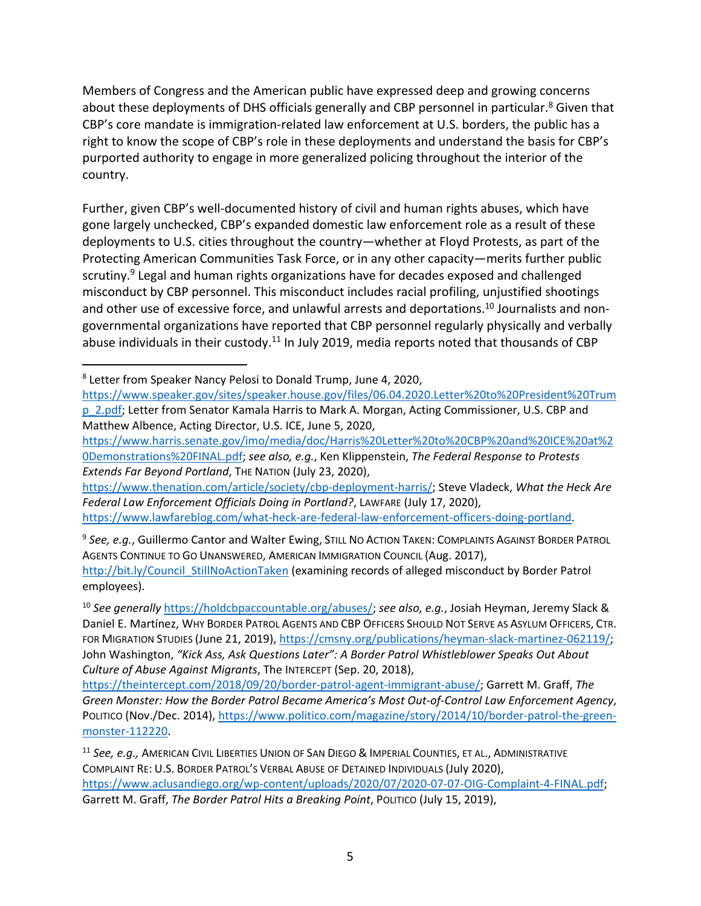Members of Congress and the American public have expressed deep and growing concerns about these deployments of DHS officials generally and CBP personnel in particular.<sup>8</sup> Given that CBP's core mandate is immigration‐related law enforcement at U.S. borders, the public has a right to know the scope of CBP's role in these deployments and understand the basis for CBP's purported authority to engage in more generalized policing throughout the interior of the country.

Further, given CBP's well‐documented history of civil and human rights abuses, which have gone largely unchecked, CBP's expanded domestic law enforcement role as a result of these deployments to U.S. cities throughout the country—whether at Floyd Protests, as part of the Protecting American Communities Task Force, or in any other capacity—merits further public scrutiny.<sup>9</sup> Legal and human rights organizations have for decades exposed and challenged misconduct by CBP personnel. This misconduct includes racial profiling, unjustified shootings and other use of excessive force, and unlawful arrests and deportations.<sup>10</sup> Journalists and nongovernmental organizations have reported that CBP personnel regularly physically and verbally abuse individuals in their custody.<sup>11</sup> In July 2019, media reports noted that thousands of CBP

https://www.harris.senate.gov/imo/media/doc/Harris%20Letter%20to%20CBP%20and%20ICE%20at%2 0Demonstrations%20FINAL.pdf; *see also, e.g.*, Ken Klippenstein, *The Federal Response to Protests Extends Far Beyond Portland*, THE NATION (July 23, 2020),

https://www.thenation.com/article/society/cbp‐deployment‐harris/; Steve Vladeck, *What the Heck Are Federal Law Enforcement Officials Doing in Portland?*, LAWFARE (July 17, 2020), https://www.lawfareblog.com/what‐heck‐are‐federal‐law‐enforcement‐officers‐doing‐portland.

<sup>9</sup> *See, e.g.*, Guillermo Cantor and Walter Ewing, STILL NO ACTION TAKEN: COMPLAINTS AGAINST BORDER PATROL AGENTS CONTINUE TO GO UNANSWERED, AMERICAN IMMIGRATION COUNCIL (Aug. 2017), http://bit.ly/Council\_StillNoActionTaken (examining records of alleged misconduct by Border Patrol employees).

<sup>10</sup> *See generally* https://holdcbpaccountable.org/abuses/; *see also, e.g.*, Josiah Heyman, Jeremy Slack & Daniel E. Martínez, WHY BORDER PATROL AGENTS AND CBP OFFICERS SHOULD NOT SERVE AS ASYLUM OFFICERS, CTR. FOR MIGRATION STUDIES (June 21, 2019), https://cmsny.org/publications/heyman‐slack‐martinez‐062119/; John Washington, *"Kick Ass, Ask Questions Later": A Border Patrol Whistleblower Speaks Out About Culture of Abuse Against Migrants*, The INTERCEPT (Sep. 20, 2018),

https://theintercept.com/2018/09/20/border‐patrol‐agent‐immigrant‐abuse/; Garrett M. Graff, *The Green Monster: How the Border Patrol Became America's Most Out‐of‐Control Law Enforcement Agency*, POLITICO (Nov./Dec. 2014), https://www.politico.com/magazine/story/2014/10/border-patrol-the-greenmonster‐112220.

<sup>8</sup> Letter from Speaker Nancy Pelosi to Donald Trump, June 4, 2020,

https://www.speaker.gov/sites/speaker.house.gov/files/06.04.2020.Letter%20to%20President%20Trum p\_2.pdf; Letter from Senator Kamala Harris to Mark A. Morgan, Acting Commissioner, U.S. CBP and Matthew Albence, Acting Director, U.S. ICE, June 5, 2020,

<sup>11</sup> *See, e.g.,* AMERICAN CIVIL LIBERTIES UNION OF SAN DIEGO & IMPERIAL COUNTIES, ET AL., ADMINISTRATIVE COMPLAINT RE: U.S. BORDER PATROL'S VERBAL ABUSE OF DETAINED INDIVIDUALS (July 2020), https://www.aclusandiego.org/wp‐content/uploads/2020/07/2020‐07‐07‐OIG‐Complaint‐4‐FINAL.pdf; Garrett M. Graff, *The Border Patrol Hits a Breaking Point*, POLITICO (July 15, 2019),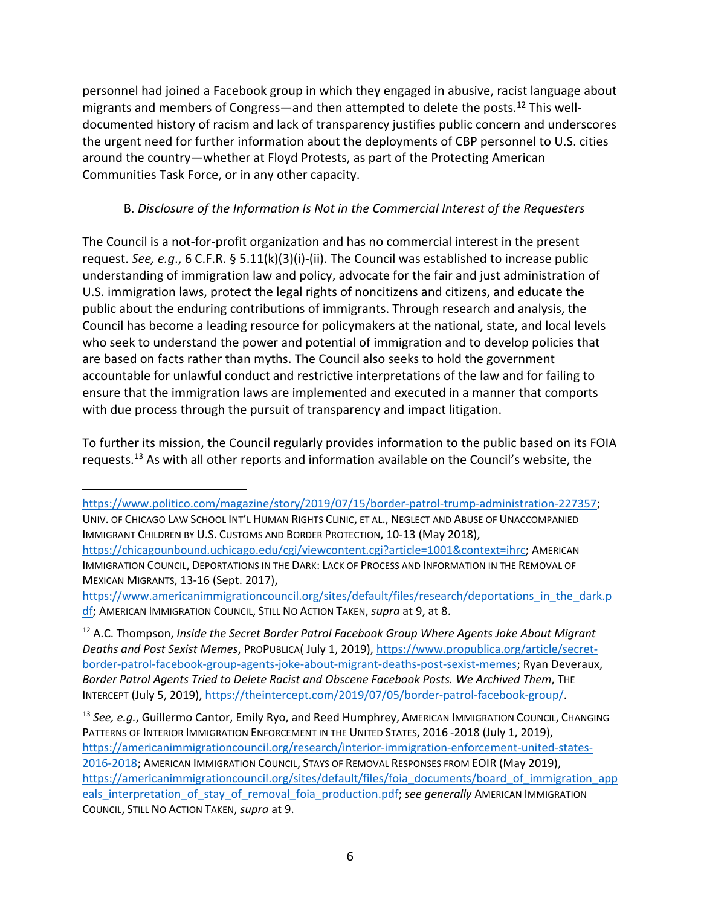personnel had joined a Facebook group in which they engaged in abusive, racist language about migrants and members of Congress—and then attempted to delete the posts.<sup>12</sup> This welldocumented history of racism and lack of transparency justifies public concern and underscores the urgent need for further information about the deployments of CBP personnel to U.S. cities around the country—whether at Floyd Protests, as part of the Protecting American Communities Task Force, or in any other capacity.

# B. *Disclosure of the Information Is Not in the Commercial Interest of the Requesters*

The Council is a not-for-profit organization and has no commercial interest in the present request. *See, e.g*., 6 C.F.R. § 5.11(k)(3)(i)‐(ii). The Council was established to increase public understanding of immigration law and policy, advocate for the fair and just administration of U.S. immigration laws, protect the legal rights of noncitizens and citizens, and educate the public about the enduring contributions of immigrants. Through research and analysis, the Council has become a leading resource for policymakers at the national, state, and local levels who seek to understand the power and potential of immigration and to develop policies that are based on facts rather than myths. The Council also seeks to hold the government accountable for unlawful conduct and restrictive interpretations of the law and for failing to ensure that the immigration laws are implemented and executed in a manner that comports with due process through the pursuit of transparency and impact litigation.

To further its mission, the Council regularly provides information to the public based on its FOIA requests.13 As with all other reports and information available on the Council's website, the

IMMIGRANT CHILDREN BY U.S. CUSTOMS AND BORDER PROTECTION, 10‐13 (May 2018),

https://www.politico.com/magazine/story/2019/07/15/border-patrol-trump-administration-227357; UNIV. OF CHICAGO LAW SCHOOL INT'L HUMAN RIGHTS CLINIC, ET AL., NEGLECT AND ABUSE OF UNACCOMPANIED

https://chicagounbound.uchicago.edu/cgi/viewcontent.cgi?article=1001&context=ihrc; AMERICAN IMMIGRATION COUNCIL, DEPORTATIONS IN THE DARK: LACK OF PROCESS AND INFORMATION IN THE REMOVAL OF MEXICAN MIGRANTS, 13‐16 (Sept. 2017),

https://www.americanimmigrationcouncil.org/sites/default/files/research/deportations in the dark.p df; AMERICAN IMMIGRATION COUNCIL, STILL NO ACTION TAKEN, *supra* at 9, at 8.

<sup>12</sup> A.C. Thompson, *Inside the Secret Border Patrol Facebook Group Where Agents Joke About Migrant Deaths and Post Sexist Memes*, PROPUBLICA( July 1, 2019), https://www.propublica.org/article/secret‐ border‐patrol‐facebook‐group‐agents‐joke‐about‐migrant‐deaths‐post‐sexist‐memes; Ryan Deveraux, *Border Patrol Agents Tried to Delete Racist and Obscene Facebook Posts. We Archived Them*, THE INTERCEPT (July 5, 2019), https://theintercept.com/2019/07/05/border‐patrol‐facebook‐group/.

<sup>13</sup> *See, e.g.*, Guillermo Cantor, Emily Ryo, and Reed Humphrey, AMERICAN IMMIGRATION COUNCIL, CHANGING PATTERNS OF INTERIOR IMMIGRATION ENFORCEMENT IN THE UNITED STATES, 2016 ‐2018 (July 1, 2019), https://americanimmigrationcouncil.org/research/interior-immigration-enforcement-united-states-2016‐2018; AMERICAN IMMIGRATION COUNCIL, STAYS OF REMOVAL RESPONSES FROM EOIR (May 2019), https://americanimmigrationcouncil.org/sites/default/files/foia\_documents/board\_of\_immigration\_app eals\_interpretation\_of\_stay\_of\_removal\_foia\_production.pdf; see *generally* AMERICAN IMMIGRATION COUNCIL, STILL NO ACTION TAKEN, *supra* at 9.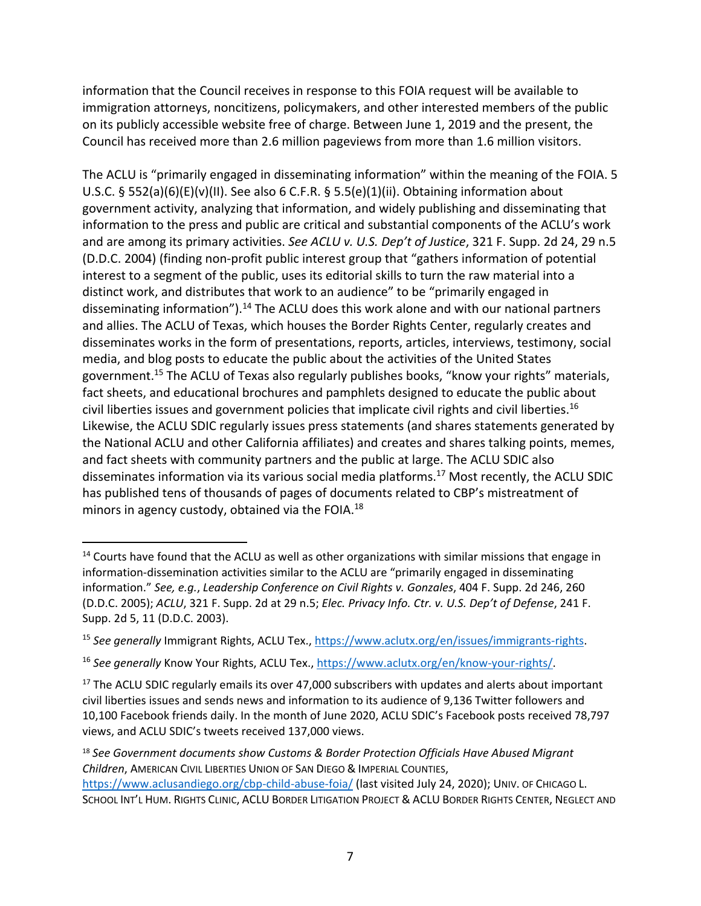information that the Council receives in response to this FOIA request will be available to immigration attorneys, noncitizens, policymakers, and other interested members of the public on its publicly accessible website free of charge. Between June 1, 2019 and the present, the Council has received more than 2.6 million pageviews from more than 1.6 million visitors.

The ACLU is "primarily engaged in disseminating information" within the meaning of the FOIA. 5 U.S.C. § 552(a)(6)(E)(v)(II). See also 6 C.F.R. § 5.5(e)(1)(ii). Obtaining information about government activity, analyzing that information, and widely publishing and disseminating that information to the press and public are critical and substantial components of the ACLU's work and are among its primary activities. *See ACLU v. U.S. Dep't of Justice*, 321 F. Supp. 2d 24, 29 n.5 (D.D.C. 2004) (finding non‐profit public interest group that "gathers information of potential interest to a segment of the public, uses its editorial skills to turn the raw material into a distinct work, and distributes that work to an audience" to be "primarily engaged in disseminating information").<sup>14</sup> The ACLU does this work alone and with our national partners and allies. The ACLU of Texas, which houses the Border Rights Center, regularly creates and disseminates works in the form of presentations, reports, articles, interviews, testimony, social media, and blog posts to educate the public about the activities of the United States government.15 The ACLU of Texas also regularly publishes books, "know your rights" materials, fact sheets, and educational brochures and pamphlets designed to educate the public about civil liberties issues and government policies that implicate civil rights and civil liberties.16 Likewise, the ACLU SDIC regularly issues press statements (and shares statements generated by the National ACLU and other California affiliates) and creates and shares talking points, memes, and fact sheets with community partners and the public at large. The ACLU SDIC also disseminates information via its various social media platforms.17 Most recently, the ACLU SDIC has published tens of thousands of pages of documents related to CBP's mistreatment of minors in agency custody, obtained via the FOIA. $^{18}$ 

 $14$  Courts have found that the ACLU as well as other organizations with similar missions that engage in information‐dissemination activities similar to the ACLU are "primarily engaged in disseminating information." *See, e.g.*, *Leadership Conference on Civil Rights v. Gonzales*, 404 F. Supp. 2d 246, 260 (D.D.C. 2005); *ACLU*, 321 F. Supp. 2d at 29 n.5; *Elec. Privacy Info. Ctr. v. U.S. Dep't of Defense*, 241 F. Supp. 2d 5, 11 (D.D.C. 2003).

<sup>15</sup> *See generally* Immigrant Rights, ACLU Tex., https://www.aclutx.org/en/issues/immigrants‐rights.

<sup>16</sup> *See generally* Know Your Rights, ACLU Tex., https://www.aclutx.org/en/know‐your‐rights/.

 $17$  The ACLU SDIC regularly emails its over 47,000 subscribers with updates and alerts about important civil liberties issues and sends news and information to its audience of 9,136 Twitter followers and 10,100 Facebook friends daily. In the month of June 2020, ACLU SDIC's Facebook posts received 78,797 views, and ACLU SDIC's tweets received 137,000 views.

<sup>18</sup> *See Government documents show Customs & Border Protection Officials Have Abused Migrant Children*, AMERICAN CIVIL LIBERTIES UNION OF SAN DIEGO & IMPERIAL COUNTIES,

https://www.aclusandiego.org/cbp‐child‐abuse‐foia/ (last visited July 24, 2020); UNIV. OF CHICAGO L. SCHOOL INT'L HUM. RIGHTS CLINIC, ACLU BORDER LITIGATION PROJECT & ACLU BORDER RIGHTS CENTER, NEGLECT AND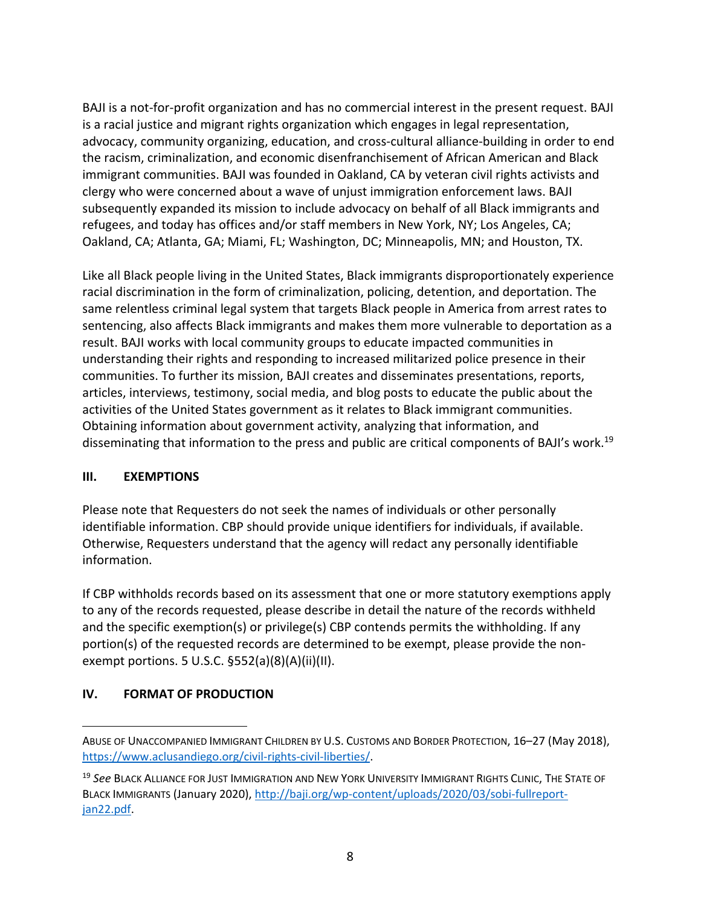BAJI is a not‐for‐profit organization and has no commercial interest in the present request. BAJI is a racial justice and migrant rights organization which engages in legal representation, advocacy, community organizing, education, and cross‐cultural alliance‐building in order to end the racism, criminalization, and economic disenfranchisement of African American and Black immigrant communities. BAJI was founded in Oakland, CA by veteran civil rights activists and clergy who were concerned about a wave of unjust immigration enforcement laws. BAJI subsequently expanded its mission to include advocacy on behalf of all Black immigrants and refugees, and today has offices and/or staff members in New York, NY; Los Angeles, CA; Oakland, CA; Atlanta, GA; Miami, FL; Washington, DC; Minneapolis, MN; and Houston, TX.

Like all Black people living in the United States, Black immigrants disproportionately experience racial discrimination in the form of criminalization, policing, detention, and deportation. The same relentless criminal legal system that targets Black people in America from arrest rates to sentencing, also affects Black immigrants and makes them more vulnerable to deportation as a result. BAJI works with local community groups to educate impacted communities in understanding their rights and responding to increased militarized police presence in their communities. To further its mission, BAJI creates and disseminates presentations, reports, articles, interviews, testimony, social media, and blog posts to educate the public about the activities of the United States government as it relates to Black immigrant communities. Obtaining information about government activity, analyzing that information, and disseminating that information to the press and public are critical components of BAJI's work.<sup>19</sup>

#### **III. EXEMPTIONS**

Please note that Requesters do not seek the names of individuals or other personally identifiable information. CBP should provide unique identifiers for individuals, if available. Otherwise, Requesters understand that the agency will redact any personally identifiable information.

If CBP withholds records based on its assessment that one or more statutory exemptions apply to any of the records requested, please describe in detail the nature of the records withheld and the specific exemption(s) or privilege(s) CBP contends permits the withholding. If any portion(s) of the requested records are determined to be exempt, please provide the non‐ exempt portions. 5 U.S.C. §552(a)(8)(A)(ii)(II).

#### **IV. FORMAT OF PRODUCTION**

ABUSE OF UNACCOMPANIED IMMIGRANT CHILDREN BY U.S. CUSTOMS AND BORDER PROTECTION, 16–27 (May 2018), https://www.aclusandiego.org/civil-rights-civil-liberties/.

<sup>19</sup> *See* BLACK ALLIANCE FOR JUST IMMIGRATION AND NEW YORK UNIVERSITY IMMIGRANT RIGHTS CLINIC, THE STATE OF BLACK IMMIGRANTS (January 2020), http://baji.org/wp‐content/uploads/2020/03/sobi‐fullreport‐ jan22.pdf.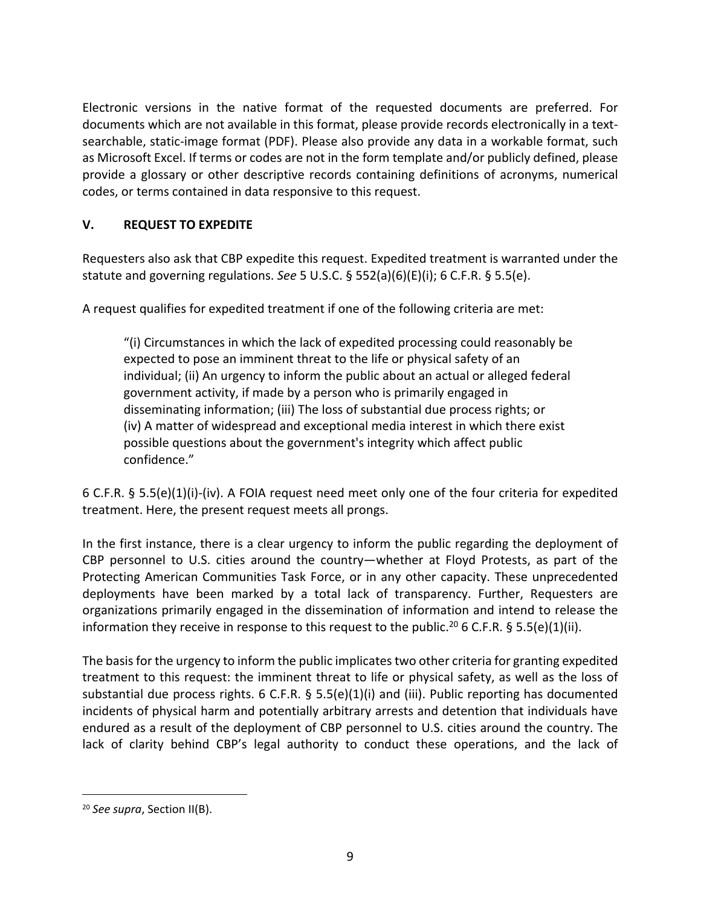Electronic versions in the native format of the requested documents are preferred. For documents which are not available in this format, please provide records electronically in a text‐ searchable, static-image format (PDF). Please also provide any data in a workable format, such as Microsoft Excel. If terms or codes are not in the form template and/or publicly defined, please provide a glossary or other descriptive records containing definitions of acronyms, numerical codes, or terms contained in data responsive to this request.

## **V. REQUEST TO EXPEDITE**

Requesters also ask that CBP expedite this request. Expedited treatment is warranted under the statute and governing regulations. *See* 5 U.S.C. § 552(a)(6)(E)(i); 6 C.F.R. § 5.5(e).

A request qualifies for expedited treatment if one of the following criteria are met:

"(i) Circumstances in which the lack of expedited processing could reasonably be expected to pose an imminent threat to the life or physical safety of an individual; (ii) An urgency to inform the public about an actual or alleged federal government activity, if made by a person who is primarily engaged in disseminating information; (iii) The loss of substantial due process rights; or (iv) A matter of widespread and exceptional media interest in which there exist possible questions about the government's integrity which affect public confidence."

6 C.F.R. § 5.5(e)(1)(i)‐(iv). A FOIA request need meet only one of the four criteria for expedited treatment. Here, the present request meets all prongs.

In the first instance, there is a clear urgency to inform the public regarding the deployment of CBP personnel to U.S. cities around the country—whether at Floyd Protests, as part of the Protecting American Communities Task Force, or in any other capacity. These unprecedented deployments have been marked by a total lack of transparency. Further, Requesters are organizations primarily engaged in the dissemination of information and intend to release the information they receive in response to this request to the public.<sup>20</sup> 6 C.F.R. § 5.5(e)(1)(ii).

The basis for the urgency to inform the public implicates two other criteria for granting expedited treatment to this request: the imminent threat to life or physical safety, as well as the loss of substantial due process rights. 6 C.F.R. § 5.5(e)(1)(i) and (iii). Public reporting has documented incidents of physical harm and potentially arbitrary arrests and detention that individuals have endured as a result of the deployment of CBP personnel to U.S. cities around the country. The lack of clarity behind CBP's legal authority to conduct these operations, and the lack of

<sup>20</sup> *See supra*, Section II(B).